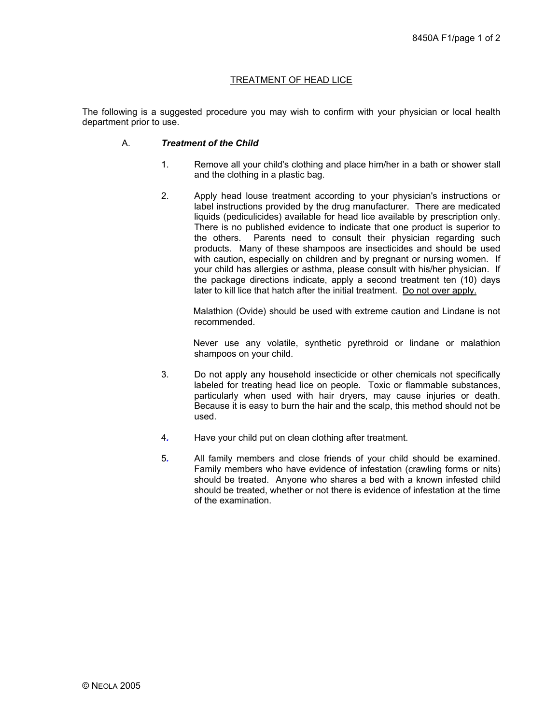# TREATMENT OF HEAD LICE

The following is a suggested procedure you may wish to confirm with your physician or local health department prior to use.

### A. *Treatment of the Child*

- 1. Remove all your child's clothing and place him/her in a bath or shower stall and the clothing in a plastic bag.
- 2. Apply head louse treatment according to your physician's instructions or label instructions provided by the drug manufacturer. There are medicated liquids (pediculicides) available for head lice available by prescription only. There is no published evidence to indicate that one product is superior to the others. Parents need to consult their physician regarding such products. Many of these shampoos are insecticides and should be used with caution, especially on children and by pregnant or nursing women. If your child has allergies or asthma, please consult with his/her physician. If the package directions indicate, apply a second treatment ten (10) days later to kill lice that hatch after the initial treatment. Do not over apply.

Malathion (Ovide) should be used with extreme caution and Lindane is not recommended.

Never use any volatile, synthetic pyrethroid or lindane or malathion shampoos on your child.

- 3. Do not apply any household insecticide or other chemicals not specifically labeled for treating head lice on people. Toxic or flammable substances, particularly when used with hair dryers, may cause injuries or death. Because it is easy to burn the hair and the scalp, this method should not be used.
- 4*.* Have your child put on clean clothing after treatment.
- 5*.* All family members and close friends of your child should be examined. Family members who have evidence of infestation (crawling forms or nits) should be treated. Anyone who shares a bed with a known infested child should be treated, whether or not there is evidence of infestation at the time of the examination.